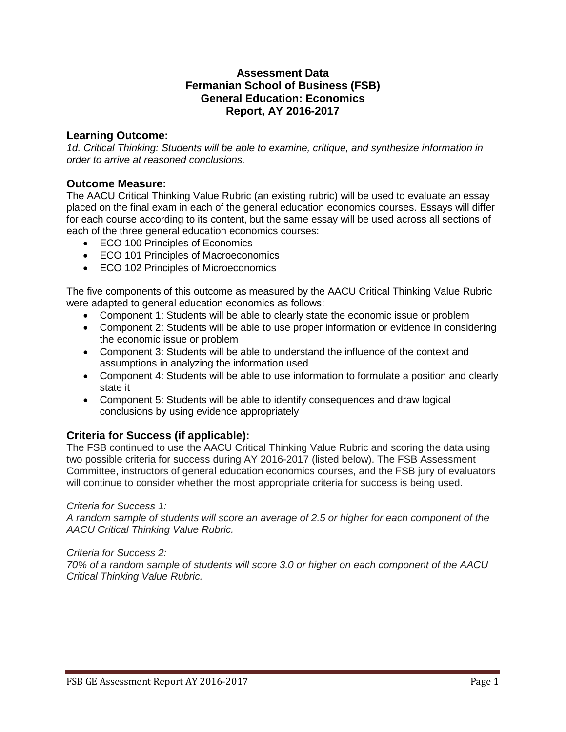### **Assessment Data Fermanian School of Business (FSB) General Education: Economics Report, AY 2016-2017**

## **Learning Outcome:**

*1d. Critical Thinking: Students will be able to examine, critique, and synthesize information in order to arrive at reasoned conclusions.*

## **Outcome Measure:**

The AACU Critical Thinking Value Rubric (an existing rubric) will be used to evaluate an essay placed on the final exam in each of the general education economics courses. Essays will differ for each course according to its content, but the same essay will be used across all sections of each of the three general education economics courses:

- ECO 100 Principles of Economics
- ECO 101 Principles of Macroeconomics
- ECO 102 Principles of Microeconomics

The five components of this outcome as measured by the AACU Critical Thinking Value Rubric were adapted to general education economics as follows:

- Component 1: Students will be able to clearly state the economic issue or problem
- Component 2: Students will be able to use proper information or evidence in considering the economic issue or problem
- Component 3: Students will be able to understand the influence of the context and assumptions in analyzing the information used
- Component 4: Students will be able to use information to formulate a position and clearly state it
- Component 5: Students will be able to identify consequences and draw logical conclusions by using evidence appropriately

# **Criteria for Success (if applicable):**

The FSB continued to use the AACU Critical Thinking Value Rubric and scoring the data using two possible criteria for success during AY 2016-2017 (listed below). The FSB Assessment Committee, instructors of general education economics courses, and the FSB jury of evaluators will continue to consider whether the most appropriate criteria for success is being used.

## *Criteria for Success 1:*

*A random sample of students will score an average of 2.5 or higher for each component of the AACU Critical Thinking Value Rubric.*

## *Criteria for Success 2:*

*70% of a random sample of students will score 3.0 or higher on each component of the AACU Critical Thinking Value Rubric.*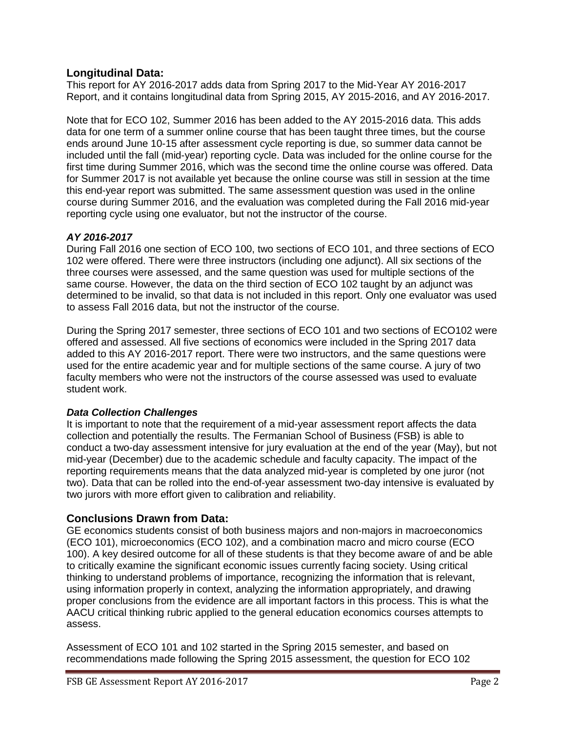## **Longitudinal Data:**

This report for AY 2016-2017 adds data from Spring 2017 to the Mid-Year AY 2016-2017 Report, and it contains longitudinal data from Spring 2015, AY 2015-2016, and AY 2016-2017.

Note that for ECO 102, Summer 2016 has been added to the AY 2015-2016 data. This adds data for one term of a summer online course that has been taught three times, but the course ends around June 10-15 after assessment cycle reporting is due, so summer data cannot be included until the fall (mid-year) reporting cycle. Data was included for the online course for the first time during Summer 2016, which was the second time the online course was offered. Data for Summer 2017 is not available yet because the online course was still in session at the time this end-year report was submitted. The same assessment question was used in the online course during Summer 2016, and the evaluation was completed during the Fall 2016 mid-year reporting cycle using one evaluator, but not the instructor of the course.

## *AY 2016-2017*

During Fall 2016 one section of ECO 100, two sections of ECO 101, and three sections of ECO 102 were offered. There were three instructors (including one adjunct). All six sections of the three courses were assessed, and the same question was used for multiple sections of the same course. However, the data on the third section of ECO 102 taught by an adjunct was determined to be invalid, so that data is not included in this report. Only one evaluator was used to assess Fall 2016 data, but not the instructor of the course.

During the Spring 2017 semester, three sections of ECO 101 and two sections of ECO102 were offered and assessed. All five sections of economics were included in the Spring 2017 data added to this AY 2016-2017 report. There were two instructors, and the same questions were used for the entire academic year and for multiple sections of the same course. A jury of two faculty members who were not the instructors of the course assessed was used to evaluate student work.

## *Data Collection Challenges*

It is important to note that the requirement of a mid-year assessment report affects the data collection and potentially the results. The Fermanian School of Business (FSB) is able to conduct a two-day assessment intensive for jury evaluation at the end of the year (May), but not mid-year (December) due to the academic schedule and faculty capacity. The impact of the reporting requirements means that the data analyzed mid-year is completed by one juror (not two). Data that can be rolled into the end-of-year assessment two-day intensive is evaluated by two jurors with more effort given to calibration and reliability.

# **Conclusions Drawn from Data:**

GE economics students consist of both business majors and non-majors in macroeconomics (ECO 101), microeconomics (ECO 102), and a combination macro and micro course (ECO 100). A key desired outcome for all of these students is that they become aware of and be able to critically examine the significant economic issues currently facing society. Using critical thinking to understand problems of importance, recognizing the information that is relevant, using information properly in context, analyzing the information appropriately, and drawing proper conclusions from the evidence are all important factors in this process. This is what the AACU critical thinking rubric applied to the general education economics courses attempts to assess.

Assessment of ECO 101 and 102 started in the Spring 2015 semester, and based on recommendations made following the Spring 2015 assessment, the question for ECO 102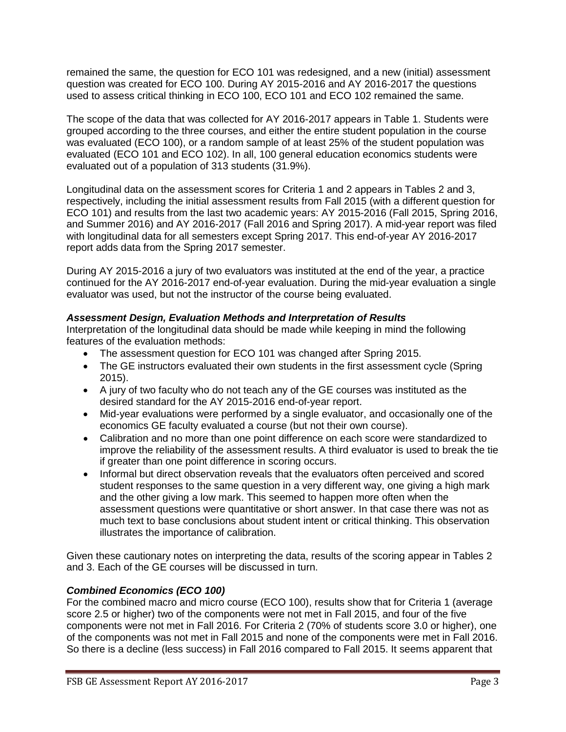remained the same, the question for ECO 101 was redesigned, and a new (initial) assessment question was created for ECO 100. During AY 2015-2016 and AY 2016-2017 the questions used to assess critical thinking in ECO 100, ECO 101 and ECO 102 remained the same.

The scope of the data that was collected for AY 2016-2017 appears in Table 1. Students were grouped according to the three courses, and either the entire student population in the course was evaluated (ECO 100), or a random sample of at least 25% of the student population was evaluated (ECO 101 and ECO 102). In all, 100 general education economics students were evaluated out of a population of 313 students (31.9%).

Longitudinal data on the assessment scores for Criteria 1 and 2 appears in Tables 2 and 3, respectively, including the initial assessment results from Fall 2015 (with a different question for ECO 101) and results from the last two academic years: AY 2015-2016 (Fall 2015, Spring 2016, and Summer 2016) and AY 2016-2017 (Fall 2016 and Spring 2017). A mid-year report was filed with longitudinal data for all semesters except Spring 2017. This end-of-year AY 2016-2017 report adds data from the Spring 2017 semester.

During AY 2015-2016 a jury of two evaluators was instituted at the end of the year, a practice continued for the AY 2016-2017 end-of-year evaluation. During the mid-year evaluation a single evaluator was used, but not the instructor of the course being evaluated.

## *Assessment Design, Evaluation Methods and Interpretation of Results*

Interpretation of the longitudinal data should be made while keeping in mind the following features of the evaluation methods:

- The assessment question for ECO 101 was changed after Spring 2015.
- The GE instructors evaluated their own students in the first assessment cycle (Spring 2015).
- A jury of two faculty who do not teach any of the GE courses was instituted as the desired standard for the AY 2015-2016 end-of-year report.
- Mid-year evaluations were performed by a single evaluator, and occasionally one of the economics GE faculty evaluated a course (but not their own course).
- Calibration and no more than one point difference on each score were standardized to improve the reliability of the assessment results. A third evaluator is used to break the tie if greater than one point difference in scoring occurs.
- Informal but direct observation reveals that the evaluators often perceived and scored student responses to the same question in a very different way, one giving a high mark and the other giving a low mark. This seemed to happen more often when the assessment questions were quantitative or short answer. In that case there was not as much text to base conclusions about student intent or critical thinking. This observation illustrates the importance of calibration.

Given these cautionary notes on interpreting the data, results of the scoring appear in Tables 2 and 3. Each of the GE courses will be discussed in turn.

# *Combined Economics (ECO 100)*

For the combined macro and micro course (ECO 100), results show that for Criteria 1 (average score 2.5 or higher) two of the components were not met in Fall 2015, and four of the five components were not met in Fall 2016. For Criteria 2 (70% of students score 3.0 or higher), one of the components was not met in Fall 2015 and none of the components were met in Fall 2016. So there is a decline (less success) in Fall 2016 compared to Fall 2015. It seems apparent that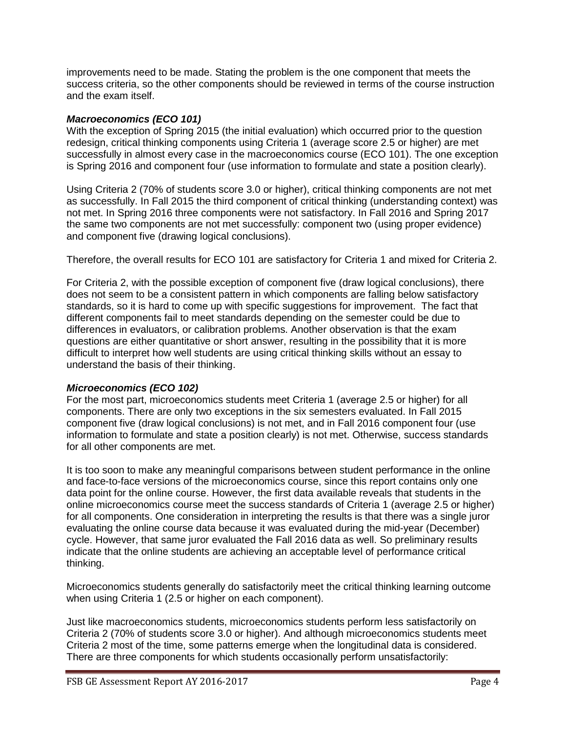improvements need to be made. Stating the problem is the one component that meets the success criteria, so the other components should be reviewed in terms of the course instruction and the exam itself.

#### *Macroeconomics (ECO 101)*

With the exception of Spring 2015 (the initial evaluation) which occurred prior to the question redesign, critical thinking components using Criteria 1 (average score 2.5 or higher) are met successfully in almost every case in the macroeconomics course (ECO 101). The one exception is Spring 2016 and component four (use information to formulate and state a position clearly).

Using Criteria 2 (70% of students score 3.0 or higher), critical thinking components are not met as successfully. In Fall 2015 the third component of critical thinking (understanding context) was not met. In Spring 2016 three components were not satisfactory. In Fall 2016 and Spring 2017 the same two components are not met successfully: component two (using proper evidence) and component five (drawing logical conclusions).

Therefore, the overall results for ECO 101 are satisfactory for Criteria 1 and mixed for Criteria 2.

For Criteria 2, with the possible exception of component five (draw logical conclusions), there does not seem to be a consistent pattern in which components are falling below satisfactory standards, so it is hard to come up with specific suggestions for improvement. The fact that different components fail to meet standards depending on the semester could be due to differences in evaluators, or calibration problems. Another observation is that the exam questions are either quantitative or short answer, resulting in the possibility that it is more difficult to interpret how well students are using critical thinking skills without an essay to understand the basis of their thinking.

#### *Microeconomics (ECO 102)*

For the most part, microeconomics students meet Criteria 1 (average 2.5 or higher) for all components. There are only two exceptions in the six semesters evaluated. In Fall 2015 component five (draw logical conclusions) is not met, and in Fall 2016 component four (use information to formulate and state a position clearly) is not met. Otherwise, success standards for all other components are met.

It is too soon to make any meaningful comparisons between student performance in the online and face-to-face versions of the microeconomics course, since this report contains only one data point for the online course. However, the first data available reveals that students in the online microeconomics course meet the success standards of Criteria 1 (average 2.5 or higher) for all components. One consideration in interpreting the results is that there was a single juror evaluating the online course data because it was evaluated during the mid-year (December) cycle. However, that same juror evaluated the Fall 2016 data as well. So preliminary results indicate that the online students are achieving an acceptable level of performance critical thinking.

Microeconomics students generally do satisfactorily meet the critical thinking learning outcome when using Criteria 1 (2.5 or higher on each component).

Just like macroeconomics students, microeconomics students perform less satisfactorily on Criteria 2 (70% of students score 3.0 or higher). And although microeconomics students meet Criteria 2 most of the time, some patterns emerge when the longitudinal data is considered. There are three components for which students occasionally perform unsatisfactorily: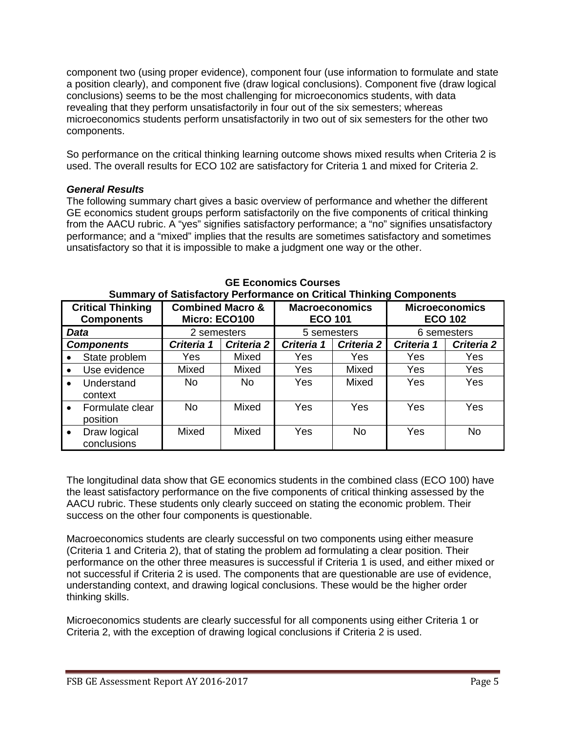component two (using proper evidence), component four (use information to formulate and state a position clearly), and component five (draw logical conclusions). Component five (draw logical conclusions) seems to be the most challenging for microeconomics students, with data revealing that they perform unsatisfactorily in four out of the six semesters; whereas microeconomics students perform unsatisfactorily in two out of six semesters for the other two components.

So performance on the critical thinking learning outcome shows mixed results when Criteria 2 is used. The overall results for ECO 102 are satisfactory for Criteria 1 and mixed for Criteria 2.

#### *General Results*

The following summary chart gives a basic overview of performance and whether the different GE economics student groups perform satisfactorily on the five components of critical thinking from the AACU rubric. A "yes" signifies satisfactory performance; a "no" signifies unsatisfactory performance; and a "mixed" implies that the results are sometimes satisfactory and sometimes unsatisfactory so that it is impossible to make a judgment one way or the other.

|                                               |                             | . ت                                          |            |                                         |            |                                         |            |
|-----------------------------------------------|-----------------------------|----------------------------------------------|------------|-----------------------------------------|------------|-----------------------------------------|------------|
| <b>Critical Thinking</b><br><b>Components</b> |                             | <b>Combined Macro &amp;</b><br>Micro: ECO100 |            | <b>Macroeconomics</b><br><b>ECO 101</b> |            | <b>Microeconomics</b><br><b>ECO 102</b> |            |
| Data                                          |                             | 2 semesters                                  |            | 5 semesters                             |            | 6 semesters                             |            |
| <b>Components</b>                             |                             | Criteria 1                                   | Criteria 2 | Criteria 1                              | Criteria 2 | Criteria 1                              | Criteria 2 |
|                                               | State problem               | Yes                                          | Mixed      | Yes                                     | Yes        | Yes                                     | Yes        |
| $\bullet$                                     | Use evidence                | Mixed                                        | Mixed      | Yes                                     | Mixed      | Yes                                     | Yes        |
| $\bullet$                                     | Understand<br>context       | No.                                          | <b>No</b>  | Yes                                     | Mixed      | Yes                                     | Yes        |
|                                               | Formulate clear<br>position | No                                           | Mixed      | Yes                                     | Yes        | Yes                                     | Yes        |
|                                               | Draw logical<br>conclusions | Mixed                                        | Mixed      | Yes                                     | <b>No</b>  | Yes                                     | <b>No</b>  |

**GE Economics Courses Summary of Satisfactory Performance on Critical Thinking Components**

The longitudinal data show that GE economics students in the combined class (ECO 100) have the least satisfactory performance on the five components of critical thinking assessed by the AACU rubric. These students only clearly succeed on stating the economic problem. Their success on the other four components is questionable.

Macroeconomics students are clearly successful on two components using either measure (Criteria 1 and Criteria 2), that of stating the problem ad formulating a clear position. Their performance on the other three measures is successful if Criteria 1 is used, and either mixed or not successful if Criteria 2 is used. The components that are questionable are use of evidence, understanding context, and drawing logical conclusions. These would be the higher order thinking skills.

Microeconomics students are clearly successful for all components using either Criteria 1 or Criteria 2, with the exception of drawing logical conclusions if Criteria 2 is used.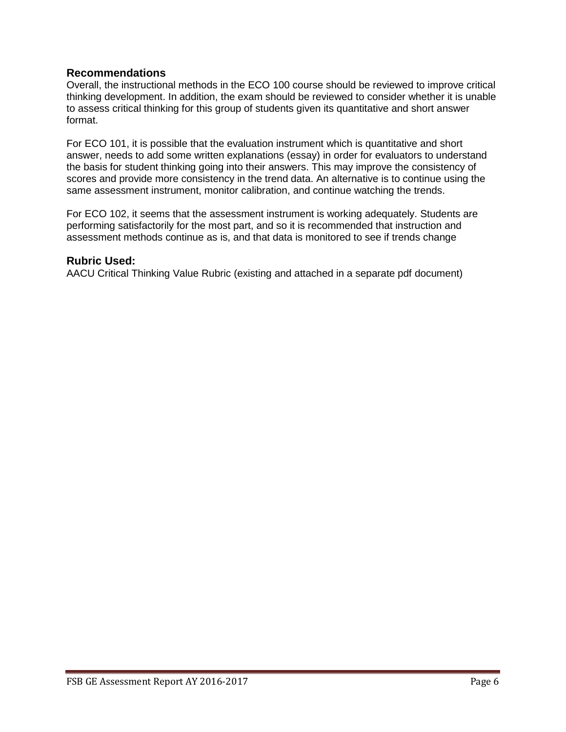#### **Recommendations**

Overall, the instructional methods in the ECO 100 course should be reviewed to improve critical thinking development. In addition, the exam should be reviewed to consider whether it is unable to assess critical thinking for this group of students given its quantitative and short answer format.

For ECO 101, it is possible that the evaluation instrument which is quantitative and short answer, needs to add some written explanations (essay) in order for evaluators to understand the basis for student thinking going into their answers. This may improve the consistency of scores and provide more consistency in the trend data. An alternative is to continue using the same assessment instrument, monitor calibration, and continue watching the trends.

For ECO 102, it seems that the assessment instrument is working adequately. Students are performing satisfactorily for the most part, and so it is recommended that instruction and assessment methods continue as is, and that data is monitored to see if trends change

#### **Rubric Used:**

AACU Critical Thinking Value Rubric (existing and attached in a separate pdf document)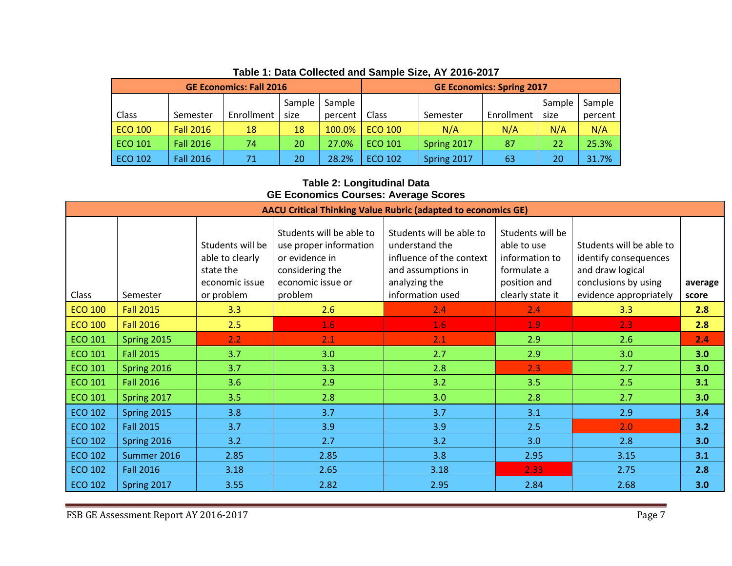| <b>GE Economics: Fall 2016</b> |                  |            |        |         | <b>GE Economics: Spring 2017</b> |             |            |        |         |
|--------------------------------|------------------|------------|--------|---------|----------------------------------|-------------|------------|--------|---------|
|                                |                  |            | Sample | Sample  |                                  |             |            | Sample | Sample  |
| Class                          | Semester         | Enrollment | size   | percent | Class                            | Semester    | Enrollment | size   | percent |
| <b>ECO 100</b>                 | <b>Fall 2016</b> | 18         | 18     | 100.0%  | <b>ECO 100</b>                   | N/A         | N/A        | N/A    | N/A     |
| ECO 101                        | <b>Fall 2016</b> | 74         | 20     | 27.0%   | <b>ECO 101</b>                   | Spring 2017 | 87         | 22     | 25.3%   |
| ECO 102                        | <b>Fall 2016</b> | 71         | 20     | 28.2%   | <b>ECO 102</b>                   | Spring 2017 | 63         | 20     | 31.7%   |

# **Table 1: Data Collected and Sample Size, AY 2016-2017**

#### **Table 2: Longitudinal Data GE Economics Courses: Average Scores**

| <b>AACU Critical Thinking Value Rubric (adapted to economics GE)</b> |                  |                                                                    |                                                                                                              |                                                                                                               |                                                                                  |                                                                                               |         |  |  |
|----------------------------------------------------------------------|------------------|--------------------------------------------------------------------|--------------------------------------------------------------------------------------------------------------|---------------------------------------------------------------------------------------------------------------|----------------------------------------------------------------------------------|-----------------------------------------------------------------------------------------------|---------|--|--|
|                                                                      |                  | Students will be<br>able to clearly<br>state the<br>economic issue | Students will be able to<br>use proper information<br>or evidence in<br>considering the<br>economic issue or | Students will be able to<br>understand the<br>influence of the context<br>and assumptions in<br>analyzing the | Students will be<br>able to use<br>information to<br>formulate a<br>position and | Students will be able to<br>identify consequences<br>and draw logical<br>conclusions by using | average |  |  |
| Class                                                                | Semester         | or problem                                                         | problem                                                                                                      | information used                                                                                              | clearly state it                                                                 | evidence appropriately                                                                        | score   |  |  |
| <b>ECO 100</b>                                                       | <b>Fall 2015</b> | 3.3                                                                | 2.6                                                                                                          | 2.4                                                                                                           | 2.4                                                                              | 3.3                                                                                           | 2.8     |  |  |
| <b>ECO 100</b>                                                       | <b>Fall 2016</b> | 2.5                                                                | 1.6                                                                                                          | 1.6                                                                                                           | 1.9                                                                              | 2.3                                                                                           | 2.8     |  |  |
| <b>ECO 101</b>                                                       | Spring 2015      | 2.2                                                                | 2.1                                                                                                          | 2.1                                                                                                           | 2.9                                                                              | 2.6                                                                                           | 2.4     |  |  |
| <b>ECO 101</b>                                                       | <b>Fall 2015</b> | 3.7                                                                | 3.0                                                                                                          | 2.7                                                                                                           | 2.9                                                                              | 3.0                                                                                           | 3.0     |  |  |
| <b>ECO 101</b>                                                       | Spring 2016      | 3.7                                                                | 3.3                                                                                                          | 2.8                                                                                                           | 2.3                                                                              | 2.7                                                                                           | 3.0     |  |  |
| <b>ECO 101</b>                                                       | <b>Fall 2016</b> | 3.6                                                                | 2.9                                                                                                          | 3.2                                                                                                           | 3.5                                                                              | 2.5                                                                                           | 3.1     |  |  |
| <b>ECO 101</b>                                                       | Spring 2017      | 3.5                                                                | 2.8                                                                                                          | 3.0                                                                                                           | 2.8                                                                              | 2.7                                                                                           | 3.0     |  |  |
| <b>ECO 102</b>                                                       | Spring 2015      | 3.8                                                                | 3.7                                                                                                          | 3.7                                                                                                           | 3.1                                                                              | 2.9                                                                                           | 3.4     |  |  |
| <b>ECO 102</b>                                                       | <b>Fall 2015</b> | 3.7                                                                | 3.9                                                                                                          | 3.9                                                                                                           | 2.5                                                                              | 2.0                                                                                           | 3.2     |  |  |
| <b>ECO 102</b>                                                       | Spring 2016      | 3.2                                                                | 2.7                                                                                                          | 3.2                                                                                                           | 3.0                                                                              | 2.8                                                                                           | 3.0     |  |  |
| <b>ECO 102</b>                                                       | Summer 2016      | 2.85                                                               | 2.85                                                                                                         | 3.8                                                                                                           | 2.95                                                                             | 3.15                                                                                          | 3.1     |  |  |
| <b>ECO 102</b>                                                       | <b>Fall 2016</b> | 3.18                                                               | 2.65                                                                                                         | 3.18                                                                                                          | 2.33                                                                             | 2.75                                                                                          | 2.8     |  |  |
| <b>ECO 102</b>                                                       | Spring 2017      | 3.55                                                               | 2.82                                                                                                         | 2.95                                                                                                          | 2.84                                                                             | 2.68                                                                                          | 3.0     |  |  |